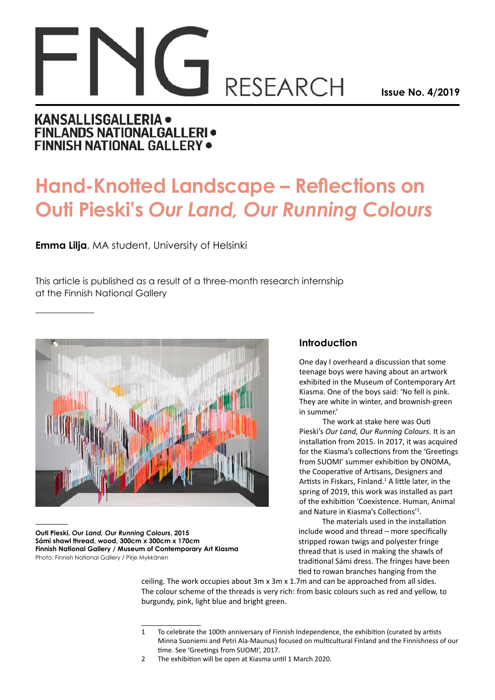# **RESEARCH**

**Issue No. 4/2019**

## **KANSALLISGALLERIA · FINLANDS NATIONALGALLERI ·** FINNISH NATIONAL GALLERY .

# **Hand-Knotted Landscape – Reflections on Outi Pieski's** *Our Land, Our Running Colours*

**Emma Lilja**, MA student, University of Helsinki

This article is published as a result of a three-month research internship at the Finnish National Gallery



**Outi Pieski,** *Our Land, Our Running Colours***, 2015 Sámi shawl thread, wood, 300cm x 300cm x 170cm Finnish National Gallery / Museum of Contemporary Art Kiasma** Photo: Finnish National Gallery / Pirje Mykkänen

### **Introduction**

One day I overheard a discussion that some teenage boys were having about an artwork exhibited in the Museum of Contemporary Art Kiasma. One of the boys said: 'No fell is pink. They are white in winter, and brownish-green in summer.'

The work at stake here was Outi Pieski's *Our Land, Our Running Colours*. It is an installation from 2015. In 2017, it was acquired for the Kiasma's collections from the 'Greetings from SUOMI' summer exhibition by ONOMA, the Cooperative of Artisans, Designers and Artists in Fiskars, Finland.<sup>1</sup> A little later, in the spring of 2019, this work was installed as part of the exhibition 'Coexistence. Human, Animal and Nature in Kiasma's Collections'2 .

The materials used in the installation include wood and thread – more specifically stripped rowan twigs and polyester fringe thread that is used in making the shawls of traditional Sámi dress. The fringes have been tied to rowan branches hanging from the

ceiling. The work occupies about 3m x 3m x 1.7m and can be approached from all sides. The colour scheme of the threads is very rich: from basic colours such as red and yellow, to burgundy, pink, light blue and bright green.

<sup>1</sup> To celebrate the 100th anniversary of Finnish Independence, the exhibition (curated by artists Minna Suoniemi and Petri Ala-Maunus) focused on multicultural Finland and the Finnishness of our time. See 'Greetings from SUOMI', 2017.

<sup>2</sup> The exhibition will be open at Kiasma until 1 March 2020.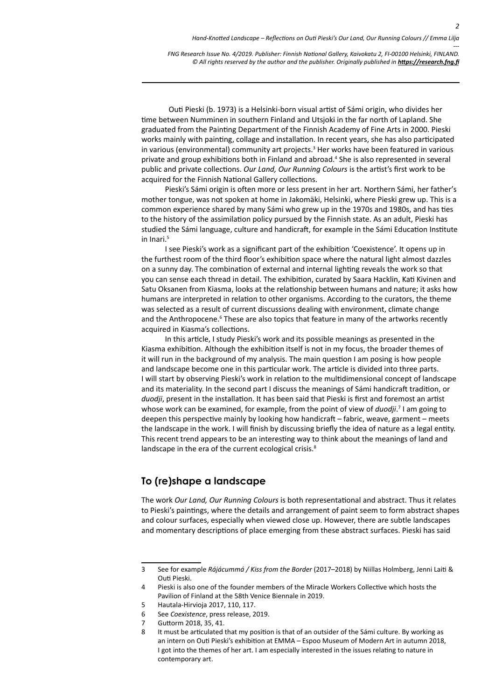Outi Pieski (b. 1973) is a Helsinki-born visual artist of Sámi origin, who divides her time between Numminen in southern Finland and Utsjoki in the far north of Lapland. She graduated from the Painting Department of the Finnish Academy of Fine Arts in 2000. Pieski works mainly with painting, collage and installation. In recent years, she has also participated in various (environmental) community art projects.<sup>3</sup> Her works have been featured in various private and group exhibitions both in Finland and abroad.<sup>4</sup> She is also represented in several public and private collections. *Our Land, Our Running Colours* is the artist's first work to be acquired for the Finnish National Gallery collections.

Pieski's Sámi origin is often more or less present in her art. Northern Sámi, her father's mother tongue, was not spoken at home in Jakomäki, Helsinki, where Pieski grew up. This is a common experience shared by many Sámi who grew up in the 1970s and 1980s, and has ties to the history of the assimilation policy pursued by the Finnish state. As an adult, Pieski has studied the Sámi language, culture and handicraft, for example in the Sámi Education Institute in Inari.<sup>5</sup>

I see Pieski's work as a significant part of the exhibition 'Coexistence'. It opens up in the furthest room of the third floor's exhibition space where the natural light almost dazzles on a sunny day. The combination of external and internal lighting reveals the work so that you can sense each thread in detail. The exhibition, curated by Saara Hacklin, Kati Kivinen and Satu Oksanen from Kiasma, looks at the relationship between humans and nature; it asks how humans are interpreted in relation to other organisms. According to the curators, the theme was selected as a result of current discussions dealing with environment, climate change and the Anthropocene.<sup>6</sup> These are also topics that feature in many of the artworks recently acquired in Kiasma's collections.

In this article, I study Pieski's work and its possible meanings as presented in the Kiasma exhibition. Although the exhibition itself is not in my focus, the broader themes of it will run in the background of my analysis. The main question I am posing is how people and landscape become one in this particular work. The article is divided into three parts. I will start by observing Pieski's work in relation to the multidimensional concept of landscape and its materiality. In the second part I discuss the meanings of Sámi handicraft tradition, or *duodji*, present in the installation. It has been said that Pieski is first and foremost an artist whose work can be examined, for example, from the point of view of *duodji*.<sup>7</sup> I am going to deepen this perspective mainly by looking how handicraft – fabric, weave, garment – meets the landscape in the work. I will finish by discussing briefly the idea of nature as a legal entity. This recent trend appears to be an interesting way to think about the meanings of land and landscape in the era of the current ecological crisis.<sup>8</sup>

### **To (re)shape a landscape**

The work *Our Land, Our Running Colours* is both representational and abstract. Thus it relates to Pieski's paintings, where the details and arrangement of paint seem to form abstract shapes and colour surfaces, especially when viewed close up. However, there are subtle landscapes and momentary descriptions of place emerging from these abstract surfaces. Pieski has said

<sup>3</sup> See for example *Rájácummá / Kiss from the Border* (2017–2018) by Niillas Holmberg, Jenni Laiti & Outi Pieski.

<sup>4</sup> Pieski is also one of the founder members of the Miracle Workers Collective which hosts the Pavilion of Finland at the 58th Venice Biennale in 2019.

<sup>5</sup> Hautala-Hirvioja 2017, 110, 117.

<sup>6</sup> See *Coexistence*, press release, 2019.

<sup>7</sup> Guttorm 2018, 35, 41.

<sup>8</sup> It must be articulated that my position is that of an outsider of the Sámi culture. By working as an intern on Outi Pieski's exhibition at EMMA – Espoo Museum of Modern Art in autumn 2018, I got into the themes of her art. I am especially interested in the issues relating to nature in contemporary art.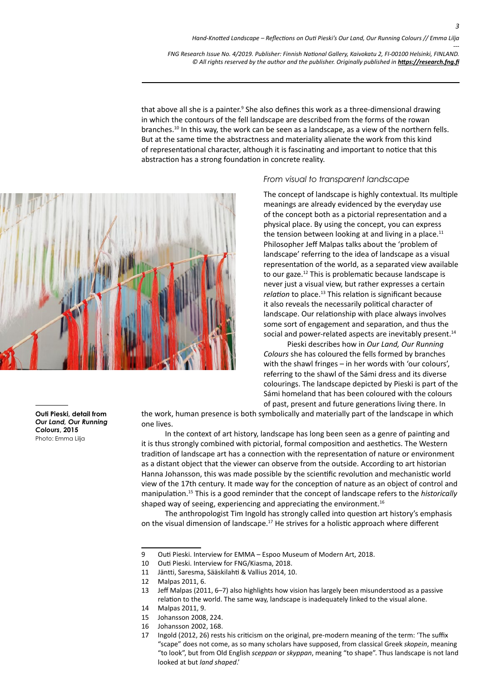that above all she is a painter.<sup>9</sup> She also defines this work as a three-dimensional drawing in which the contours of the fell landscape are described from the forms of the rowan branches.<sup>10</sup> In this way, the work can be seen as a landscape, as a view of the northern fells. But at the same time the abstractness and materiality alienate the work from this kind of representational character, although it is fascinating and important to notice that this abstraction has a strong foundation in concrete reality.



### *From visual to transparent landscape*

The concept of landscape is highly contextual. Its multiple meanings are already evidenced by the everyday use of the concept both as a pictorial representation and a physical place. By using the concept, you can express the tension between looking at and living in a place. $11$ Philosopher Jeff Malpas talks about the 'problem of landscape' referring to the idea of landscape as a visual representation of the world, as a separated view available to our gaze.12 This is problematic because landscape is never just a visual view, but rather expresses a certain *relation* to place.<sup>13</sup> This relation is significant because it also reveals the necessarily political character of landscape. Our relationship with place always involves some sort of engagement and separation, and thus the social and power-related aspects are inevitably present.<sup>14</sup>

Pieski describes how in *Our Land, Our Running Colours* she has coloured the fells formed by branches with the shawl fringes – in her words with 'our colours', referring to the shawl of the Sámi dress and its diverse colourings. The landscape depicted by Pieski is part of the Sámi homeland that has been coloured with the colours of past, present and future generations living there. In

the work, human presence is both symbolically and materially part of the landscape in which one lives.

In the context of art history, landscape has long been seen as a genre of painting and it is thus strongly combined with pictorial, formal composition and aesthetics. The Western tradition of landscape art has a connection with the representation of nature or environment as a distant object that the viewer can observe from the outside. According to art historian Hanna Johansson, this was made possible by the scientific revolution and mechanistic world view of the 17th century. It made way for the conception of nature as an object of control and manipulation.15 This is a good reminder that the concept of landscape refers to the *historically*  shaped way of seeing, experiencing and appreciating the environment. $16$ 

The anthropologist Tim Ingold has strongly called into question art history's emphasis on the visual dimension of landscape.17 He strives for a holistic approach where different

- 14 Malpas 2011, 9.
- 15 Johansson 2008, 224.
- 16 Johansson 2002, 168.
- 17 Ingold (2012, 26) rests his criticism on the original, pre-modern meaning of the term: 'The suffix "scape" does not come, as so many scholars have supposed, from classical Greek *skopein*, meaning "to look", but from Old English *sceppan* or *skyppan*, meaning "to shape". Thus landscape is not land looked at but *land shaped*.'

**Outi Pieski, detail from** *Our Land, Our Running Colours***, 2015** Photo: Emma Lilja

<sup>9</sup> Outi Pieski. Interview for EMMA – Espoo Museum of Modern Art, 2018.

<sup>10</sup> Outi Pieski. Interview for FNG/Kiasma, 2018.

<sup>11</sup> Jäntti, Saresma, Sääskilahti & Vallius 2014, 10.

<sup>12</sup> Malpas 2011, 6.

<sup>13</sup> Jeff Malpas (2011, 6–7) also highlights how vision has largely been misunderstood as a passive relation to the world. The same way, landscape is inadequately linked to the visual alone.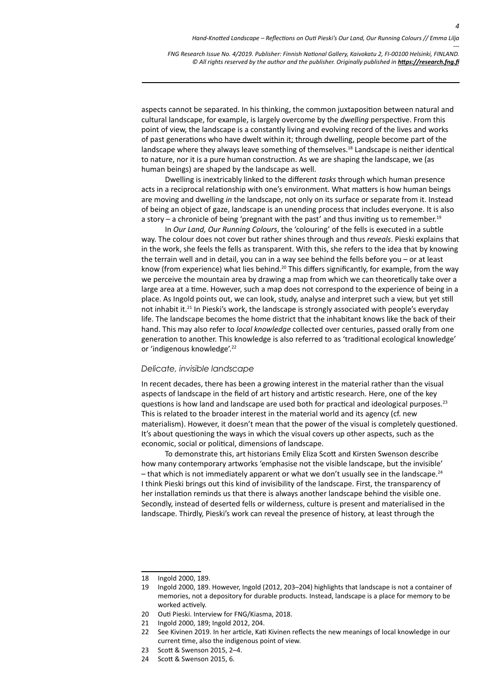aspects cannot be separated. In his thinking, the common juxtaposition between natural and cultural landscape, for example, is largely overcome by the *dwelling* perspective. From this point of view, the landscape is a constantly living and evolving record of the lives and works of past generations who have dwelt within it; through dwelling, people become part of the landscape where they always leave something of themselves.<sup>18</sup> Landscape is neither identical to nature, nor it is a pure human construction. As we are shaping the landscape, we (as human beings) are shaped by the landscape as well.

Dwelling is inextricably linked to the different *tasks* through which human presence acts in a reciprocal relationship with one's environment. What matters is how human beings are moving and dwelling *in* the landscape, not only on its surface or separate from it. Instead of being an object of gaze, landscape is an unending process that includes everyone. It is also a story – a chronicle of being 'pregnant with the past' and thus inviting us to remember.<sup>19</sup>

In *Our Land, Our Running Colours*, the 'colouring' of the fells is executed in a subtle way. The colour does not cover but rather shines through and thus *reveals*. Pieski explains that in the work, she feels the fells as transparent. With this, she refers to the idea that by knowing the terrain well and in detail, you can in a way see behind the fells before you – or at least know (from experience) what lies behind.<sup>20</sup> This differs significantly, for example, from the way we perceive the mountain area by drawing a map from which we can theoretically take over a large area at a time. However, such a map does not correspond to the experience of being in a place. As Ingold points out, we can look, study, analyse and interpret such a view, but yet still not inhabit it.<sup>21</sup> In Pieski's work, the landscape is strongly associated with people's everyday life. The landscape becomes the home district that the inhabitant knows like the back of their hand. This may also refer to *local knowledge* collected over centuries, passed orally from one generation to another. This knowledge is also referred to as 'traditional ecological knowledge' or 'indigenous knowledge'.<sup>22</sup>

### *Delicate, invisible landscape*

In recent decades, there has been a growing interest in the material rather than the visual aspects of landscape in the field of art history and artistic research. Here, one of the key questions is how land and landscape are used both for practical and ideological purposes.<sup>23</sup> This is related to the broader interest in the material world and its agency (cf. new materialism). However, it doesn't mean that the power of the visual is completely questioned. It's about questioning the ways in which the visual covers up other aspects, such as the economic, social or political, dimensions of landscape.

To demonstrate this, art historians Emily Eliza Scott and Kirsten Swenson describe how many contemporary artworks 'emphasise not the visible landscape, but the invisible' – that which is not immediately apparent or what we don't usually see in the landscape.<sup>24</sup> I think Pieski brings out this kind of invisibility of the landscape. First, the transparency of her installation reminds us that there is always another landscape behind the visible one. Secondly, instead of deserted fells or wilderness, culture is present and materialised in the landscape. Thirdly, Pieski's work can reveal the presence of history, at least through the

<sup>18</sup> Ingold 2000, 189.

<sup>19</sup> Ingold 2000, 189. However, Ingold (2012, 203–204) highlights that landscape is not a container of memories, not a depository for durable products. Instead, landscape is a place for memory to be worked actively.

<sup>20</sup> Outi Pieski. Interview for FNG/Kiasma, 2018.

<sup>21</sup> Ingold 2000, 189; Ingold 2012, 204.

<sup>22</sup> See Kivinen 2019. In her article, Kati Kivinen reflects the new meanings of local knowledge in our current time, also the indigenous point of view.

<sup>23</sup> Scott & Swenson 2015, 2–4.

<sup>24</sup> Scott & Swenson 2015, 6.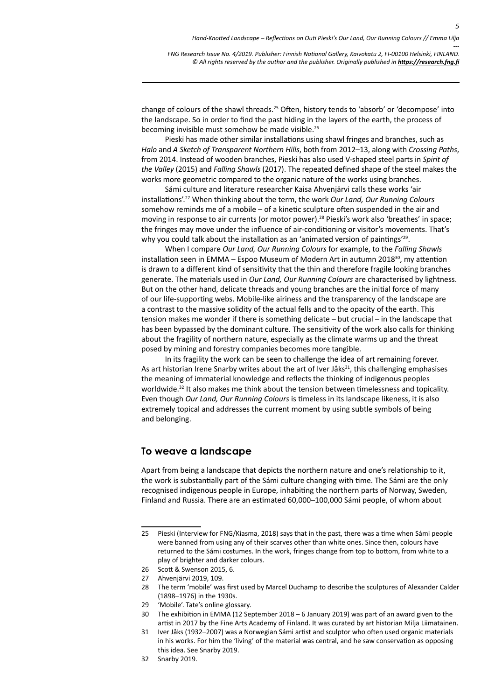change of colours of the shawl threads.25 Often, history tends to 'absorb' or 'decompose' into the landscape. So in order to find the past hiding in the layers of the earth, the process of becoming invisible must somehow be made visible.<sup>26</sup>

Pieski has made other similar installations using shawl fringes and branches, such as *Halo* and *A Sketch of Transparent Northern Hills*, both from 2012–13, along with *Crossing Paths*, from 2014. Instead of wooden branches, Pieski has also used V-shaped steel parts in *Spirit of the Valley* (2015) and *Falling Shawls* (2017). The repeated defined shape of the steel makes the works more geometric compared to the organic nature of the works using branches.

Sámi culture and literature researcher Kaisa Ahvenjärvi calls these works 'air installations'.27 When thinking about the term, the work *Our Land, Our Running Colours* somehow reminds me of a mobile – of a kinetic sculpture often suspended in the air and moving in response to air currents (or motor power).28 Pieski's work also 'breathes' in space; the fringes may move under the influence of air-conditioning or visitor's movements. That's why you could talk about the installation as an 'animated version of paintings'<sup>29</sup>.

When I compare *Our Land, Our Running Colours* for example, to the *Falling Shawls* installation seen in EMMA – Espoo Museum of Modern Art in autumn 2018 $^{30}$ , my attention is drawn to a different kind of sensitivity that the thin and therefore fragile looking branches generate. The materials used in *Our Land, Our Running Colours* are characterised by lightness. But on the other hand, delicate threads and young branches are the initial force of many of our life-supporting webs. Mobile-like airiness and the transparency of the landscape are a contrast to the massive solidity of the actual fells and to the opacity of the earth. This tension makes me wonder if there is something delicate – but crucial – in the landscape that has been bypassed by the dominant culture. The sensitivity of the work also calls for thinking about the fragility of northern nature, especially as the climate warms up and the threat posed by mining and forestry companies becomes more tangible.

In its fragility the work can be seen to challenge the idea of art remaining forever. As art historian Irene Snarby writes about the art of Iver Jåks<sup>31</sup>, this challenging emphasises the meaning of immaterial knowledge and reflects the thinking of indigenous peoples worldwide.<sup>32</sup> It also makes me think about the tension between timelessness and topicality. Even though *Our Land, Our Running Colours* is timeless in its landscape likeness, it is also extremely topical and addresses the current moment by using subtle symbols of being and belonging.

### **To weave a landscape**

Apart from being a landscape that depicts the northern nature and one's relationship to it, the work is substantially part of the Sámi culture changing with time. The Sámi are the only recognised indigenous people in Europe, inhabiting the northern parts of Norway, Sweden, Finland and Russia. There are an estimated 60,000–100,000 Sámi people, of whom about

<sup>25</sup> Pieski (Interview for FNG/Kiasma, 2018) says that in the past, there was a time when Sámi people were banned from using any of their scarves other than white ones. Since then, colours have returned to the Sámi costumes. In the work, fringes change from top to bottom, from white to a play of brighter and darker colours.

<sup>26</sup> Scott & Swenson 2015, 6.

<sup>27</sup> Ahvenjärvi 2019, 109.

<sup>28</sup> The term 'mobile' was first used by Marcel Duchamp to describe the sculptures of Alexander Calder (1898–1976) in the 1930s.

<sup>29</sup> 'Mobile'. Tate's online glossary.

<sup>30</sup> The exhibition in EMMA (12 September 2018 – 6 January 2019) was part of an award given to the artist in 2017 by the Fine Arts Academy of Finland. It was curated by art historian Milja Liimatainen.

<sup>31</sup> Iver Jåks (1932–2007) was a Norwegian Sámi artist and sculptor who often used organic materials in his works. For him the 'living' of the material was central, and he saw conservation as opposing this idea. See Snarby 2019.

<sup>32</sup> Snarby 2019.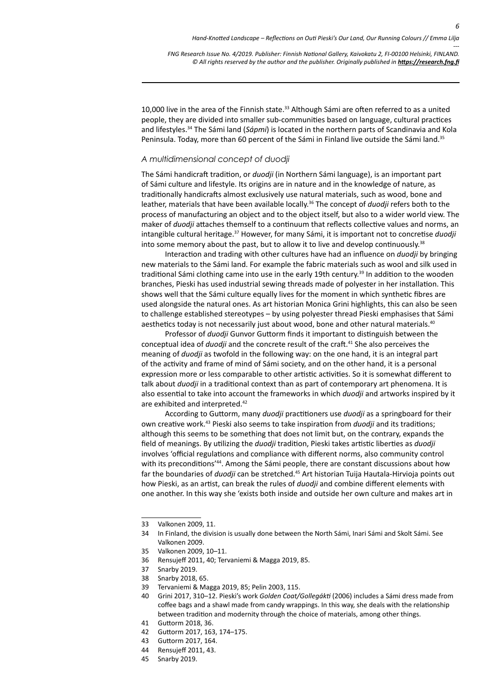10,000 live in the area of the Finnish state.<sup>33</sup> Although Sámi are often referred to as a united people, they are divided into smaller sub-communities based on language, cultural practices and lifestyles.34 The Sámi land (*Sápmi*) is located in the northern parts of Scandinavia and Kola Peninsula. Today, more than 60 percent of the Sámi in Finland live outside the Sámi land.<sup>35</sup>

### *A multidimensional concept of duodji*

The Sámi handicraft tradition, or *duodji* (in Northern Sámi language), is an important part of Sámi culture and lifestyle. Its origins are in nature and in the knowledge of nature, as traditionally handicrafts almost exclusively use natural materials, such as wood, bone and leather, materials that have been available locally.36 The concept of *duodji* refers both to the process of manufacturing an object and to the object itself, but also to a wider world view. The maker of *duodji* attaches themself to a continuum that reflects collective values and norms, an intangible cultural heritage.37 However, for many Sámi, it is important not to concretise *duodji* into some memory about the past, but to allow it to live and develop continuously. $38$ 

Interaction and trading with other cultures have had an influence on *duodji* by bringing new materials to the Sámi land. For example the fabric materials such as wool and silk used in traditional Sámi clothing came into use in the early 19th century.<sup>39</sup> In addition to the wooden branches, Pieski has used industrial sewing threads made of polyester in her installation. This shows well that the Sámi culture equally lives for the moment in which synthetic fibres are used alongside the natural ones. As art historian Monica Grini highlights, this can also be seen to challenge established stereotypes – by using polyester thread Pieski emphasises that Sámi aesthetics today is not necessarily just about wood, bone and other natural materials.<sup>40</sup>

Professor of *duodji* Gunvor Guttorm finds it important to distinguish between the conceptual idea of *duodji* and the concrete result of the craft.41 She also perceives the meaning of *duodji* as twofold in the following way: on the one hand, it is an integral part of the activity and frame of mind of Sámi society, and on the other hand, it is a personal expression more or less comparable to other artistic activities. So it is somewhat different to talk about *duodji* in a traditional context than as part of contemporary art phenomena. It is also essential to take into account the frameworks in which *duodji* and artworks inspired by it are exhibited and interpreted.<sup>42</sup>

According to Guttorm, many *duodji* practitioners use *duodji* as a springboard for their own creative work.<sup>43</sup> Pieski also seems to take inspiration from *duodji* and its traditions; although this seems to be something that does not limit but, on the contrary, expands the field of meanings. By utilizing the *duodji* tradition, Pieski takes artistic liberties as *duodji* involves 'official regulations and compliance with different norms, also community control with its preconditions<sup>'44</sup>. Among the Sámi people, there are constant discussions about how far the boundaries of *duodji* can be stretched.45 Art historian Tuija Hautala-Hirvioja points out how Pieski, as an artist, can break the rules of *duodji* and combine different elements with one another. In this way she 'exists both inside and outside her own culture and makes art in

- 41 Guttorm 2018, 36.
- 42 Guttorm 2017, 163, 174–175.
- 43 Guttorm 2017, 164.
- 44 Rensujeff 2011, 43.
- 45 Snarby 2019.

<sup>33</sup> Valkonen 2009, 11.

<sup>34</sup> In Finland, the division is usually done between the North Sámi, Inari Sámi and Skolt Sámi. See Valkonen 2009.

<sup>35</sup> Valkonen 2009, 10–11.

<sup>36</sup> Rensujeff 2011, 40; Tervaniemi & Magga 2019, 85.

<sup>37</sup> Snarby 2019.

<sup>38</sup> Snarby 2018, 65.

<sup>39</sup> Tervaniemi & Magga 2019, 85; Pelin 2003, 115.

<sup>40</sup> Grini 2017, 310–12. Pieski's work *Golden Coat/Gollegákti* (2006) includes a Sámi dress made from coffee bags and a shawl made from candy wrappings. In this way, she deals with the relationship between tradition and modernity through the choice of materials, among other things.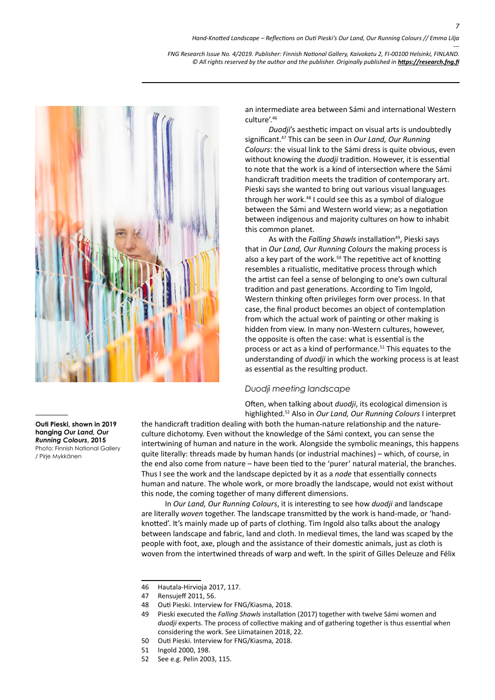

an intermediate area between Sámi and international Western culture'.46

*Duodji*'s aesthetic impact on visual arts is undoubtedly significant.47 This can be seen in *Our Land, Our Running Colours*: the visual link to the Sámi dress is quite obvious, even without knowing the *duodji* tradition. However, it is essential to note that the work is a kind of intersection where the Sámi handicraft tradition meets the tradition of contemporary art. Pieski says she wanted to bring out various visual languages through her work.<sup>48</sup> I could see this as a symbol of dialogue between the Sámi and Western world view; as a negotiation between indigenous and majority cultures on how to inhabit this common planet.

As with the *Falling Shawls* installation<sup>49</sup>, Pieski says that in *Our Land, Our Running Colours* the making process is also a key part of the work. $50$  The repetitive act of knotting resembles a ritualistic, meditative process through which the artist can feel a sense of belonging to one's own cultural tradition and past generations. According to Tim Ingold, Western thinking often privileges form over process. In that case, the final product becomes an object of contemplation from which the actual work of painting or other making is hidden from view. In many non-Western cultures, however, the opposite is often the case: what is essential is the process or act as a kind of performance.51 This equates to the understanding of *duodji* in which the working process is at least as essential as the resulting product.

### *Duodji meeting landscape*

Often, when talking about *duodji*, its ecological dimension is highlighted.<sup>52</sup> Also in *Our Land, Our Running Colours* I interpret

the handicraft tradition dealing with both the human-nature relationship and the natureculture dichotomy. Even without the knowledge of the Sámi context, you can sense the intertwining of human and nature in the work. Alongside the symbolic meanings, this happens quite literally: threads made by human hands (or industrial machines) – which, of course, in the end also come from nature – have been tied to the 'purer' natural material, the branches. Thus I see the work and the landscape depicted by it as a *node* that essentially connects human and nature. The whole work, or more broadly the landscape, would not exist without this node, the coming together of many different dimensions.

In *Our Land, Our Running Colours*, it is interesting to see how *duodji* and landscape are literally *woven* together. The landscape transmitted by the work is hand-made, or 'handknotted'. It's mainly made up of parts of clothing. Tim Ingold also talks about the analogy between landscape and fabric, land and cloth. In medieval times, the land was scaped by the people with foot, axe, plough and the assistance of their domestic animals, just as cloth is woven from the intertwined threads of warp and weft. In the spirit of Gilles Deleuze and Félix

48 Outi Pieski. Interview for FNG/Kiasma, 2018.

52 See e.g. Pelin 2003, 115.

**Outi Pieski, shown in 2019 hanging** *Our Land, Our Running Colours***, 2015**

Photo: Finnish National Gallery / Pirje Mykkänen

<sup>46</sup> Hautala-Hirvioja 2017, 117.

<sup>47</sup> Rensujeff 2011, 56.

<sup>49</sup> Pieski executed the *Falling Shawls* installation (2017) together with twelve Sámi women and *duodji* experts. The process of collective making and of gathering together is thus essential when considering the work. See Liimatainen 2018, 22.

<sup>50</sup> Outi Pieski. Interview for FNG/Kiasma, 2018.

<sup>51</sup> Ingold 2000, 198.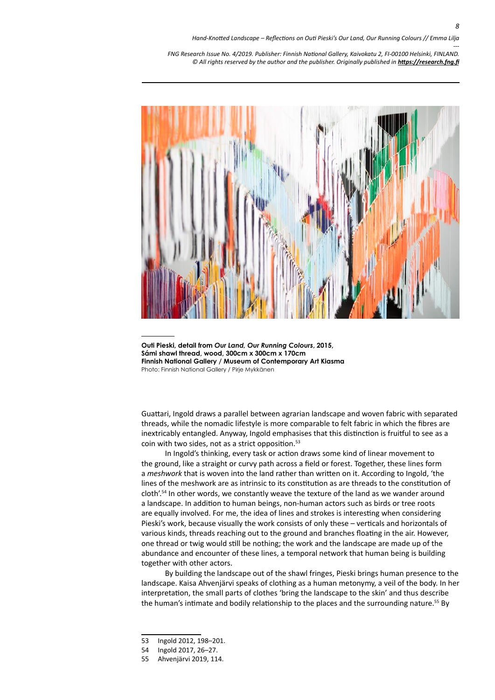

**Outi Pieski, detail from** *Our Land, Our Running Colours***, 2015, Sámi shawl thread, wood, 300cm x 300cm x 170cm Finnish National Gallery / Museum of Contemporary Art Kiasma** Photo: Finnish National Gallery / Pirje Mykkänen

Guattari, Ingold draws a parallel between agrarian landscape and woven fabric with separated threads, while the nomadic lifestyle is more comparable to felt fabric in which the fibres are inextricably entangled. Anyway, Ingold emphasises that this distinction is fruitful to see as a coin with two sides, not as a strict opposition.<sup>53</sup>

In Ingold's thinking, every task or action draws some kind of linear movement to the ground, like a straight or curvy path across a field or forest. Together, these lines form a *meshwork* that is woven into the land rather than written on it. According to Ingold, 'the lines of the meshwork are as intrinsic to its constitution as are threads to the constitution of cloth'.<sup>54</sup> In other words, we constantly weave the texture of the land as we wander around a landscape. In addition to human beings, non-human actors such as birds or tree roots are equally involved. For me, the idea of lines and strokes is interesting when considering Pieski's work, because visually the work consists of only these – verticals and horizontals of various kinds, threads reaching out to the ground and branches floating in the air. However, one thread or twig would still be nothing; the work and the landscape are made up of the abundance and encounter of these lines, a temporal network that human being is building together with other actors.

By building the landscape out of the shawl fringes, Pieski brings human presence to the landscape. Kaisa Ahvenjärvi speaks of clothing as a human metonymy, a veil of the body. In her interpretation, the small parts of clothes 'bring the landscape to the skin' and thus describe the human's intimate and bodily relationship to the places and the surrounding nature.<sup>55</sup> By

<sup>53</sup> Ingold 2012, 198–201.

<sup>54</sup> Ingold 2017, 26–27.

<sup>55</sup> Ahvenjärvi 2019, 114.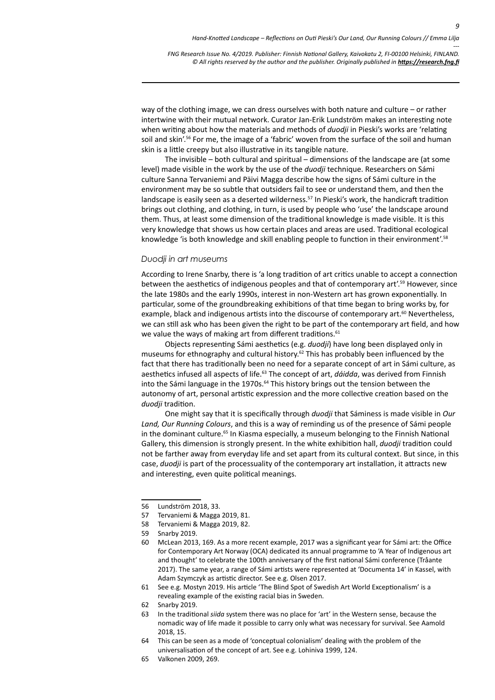way of the clothing image, we can dress ourselves with both nature and culture – or rather intertwine with their mutual network. Curator Jan-Erik Lundström makes an interesting note when writing about how the materials and methods of *duodji* in Pieski's works are 'relating soil and skin'.<sup>56</sup> For me, the image of a 'fabric' woven from the surface of the soil and human skin is a little creepy but also illustrative in its tangible nature.

The invisible – both cultural and spiritual – dimensions of the landscape are (at some level) made visible in the work by the use of the *duodji* technique. Researchers on Sámi culture Sanna Tervaniemi and Päivi Magga describe how the signs of Sámi culture in the environment may be so subtle that outsiders fail to see or understand them, and then the landscape is easily seen as a deserted wilderness.<sup>57</sup> In Pieski's work, the handicraft tradition brings out clothing, and clothing, in turn, is used by people who 'use' the landscape around them. Thus, at least some dimension of the traditional knowledge is made visible. It is this very knowledge that shows us how certain places and areas are used. Traditional ecological knowledge 'is both knowledge and skill enabling people to function in their environment'.58

### *Duodji in art museums*

According to Irene Snarby, there is 'a long tradition of art critics unable to accept a connection between the aesthetics of indigenous peoples and that of contemporary art'.<sup>59</sup> However, since the late 1980s and the early 1990s, interest in non-Western art has grown exponentially. In particular, some of the groundbreaking exhibitions of that time began to bring works by, for example, black and indigenous artists into the discourse of contemporary art.<sup>60</sup> Nevertheless, we can still ask who has been given the right to be part of the contemporary art field, and how we value the ways of making art from different traditions.<sup>61</sup>

Objects representing Sámi aesthetics (e.g. *duodji*) have long been displayed only in museums for ethnography and cultural history.<sup>62</sup> This has probably been influenced by the fact that there has traditionally been no need for a separate concept of art in Sámi culture, as aesthetics infused all aspects of life.63 The concept of art, *dáidda*, was derived from Finnish into the Sámi language in the 1970s.<sup>64</sup> This history brings out the tension between the autonomy of art, personal artistic expression and the more collective creation based on the *duodji* tradition.

One might say that it is specifically through *duodji* that Sáminess is made visible in *Our Land, Our Running Colours*, and this is a way of reminding us of the presence of Sámi people in the dominant culture. 65 In Kiasma especially, a museum belonging to the Finnish National Gallery, this dimension is strongly present. In the white exhibition hall, *duodji* tradition could not be farther away from everyday life and set apart from its cultural context. But since, in this case, *duodji* is part of the processuality of the contemporary art installation, it attracts new and interesting, even quite political meanings.

- 62 Snarby 2019.
- 63 In the traditional *siida* system there was no place for 'art' in the Western sense, because the nomadic way of life made it possible to carry only what was necessary for survival. See Aamold 2018, 15.
- 64 This can be seen as a mode of 'conceptual colonialism' dealing with the problem of the universalisation of the concept of art. See e.g. Lohiniva 1999, 124.
- 65 Valkonen 2009, 269.

<sup>56</sup> Lundström 2018, 33.

<sup>57</sup> Tervaniemi & Magga 2019, 81.

<sup>58</sup> Tervaniemi & Magga 2019, 82.

<sup>59</sup> Snarby 2019.

<sup>60</sup> McLean 2013, 169. As a more recent example, 2017 was a significant year for Sámi art: the Office for Contemporary Art Norway (OCA) dedicated its annual programme to 'A Year of Indigenous art and thought' to celebrate the 100th anniversary of the first national Sámi conference (Tråante 2017). The same year, a range of Sámi artists were represented at 'Documenta 14' in Kassel, with Adam Szymczyk as artistic director. See e.g. Olsen 2017.

<sup>61</sup> See e.g. Mostyn 2019. His article 'The Blind Spot of Swedish Art World Exceptionalism' is a revealing example of the existing racial bias in Sweden.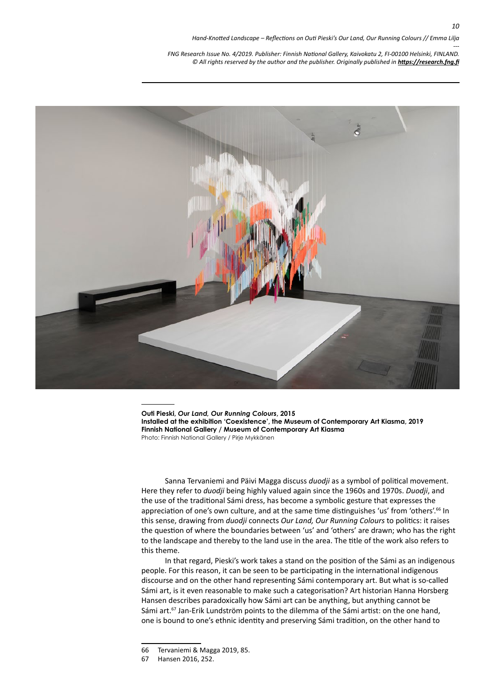

**Outi Pieski,** *Our Land, Our Running Colours***, 2015 Installed at the exhibition 'Coexistence', the Museum of Contemporary Art Kiasma, 2019 Finnish National Gallery / Museum of Contemporary Art Kiasma** Photo: Finnish National Gallery / Pirje Mykkänen

Sanna Tervaniemi and Päivi Magga discuss *duodji* as a symbol of political movement. Here they refer to *duodji* being highly valued again since the 1960s and 1970s. *Duodji*, and the use of the traditional Sámi dress, has become a symbolic gesture that expresses the appreciation of one's own culture, and at the same time distinguishes 'us' from 'others'.<sup>66</sup> In this sense, drawing from *duodji* connects *Our Land, Our Running Colours* to politics: it raises the question of where the boundaries between 'us' and 'others' are drawn; who has the right to the landscape and thereby to the land use in the area. The title of the work also refers to this theme.

In that regard, Pieski's work takes a stand on the position of the Sámi as an indigenous people. For this reason, it can be seen to be participating in the international indigenous discourse and on the other hand representing Sámi contemporary art. But what is so-called Sámi art, is it even reasonable to make such a categorisation? Art historian Hanna Horsberg Hansen describes paradoxically how Sámi art can be anything, but anything cannot be Sámi art.67 Jan-Erik Lundström points to the dilemma of the Sámi artist: on the one hand, one is bound to one's ethnic identity and preserving Sámi tradition, on the other hand to

<sup>66</sup> Tervaniemi & Magga 2019, 85.

<sup>67</sup> Hansen 2016, 252.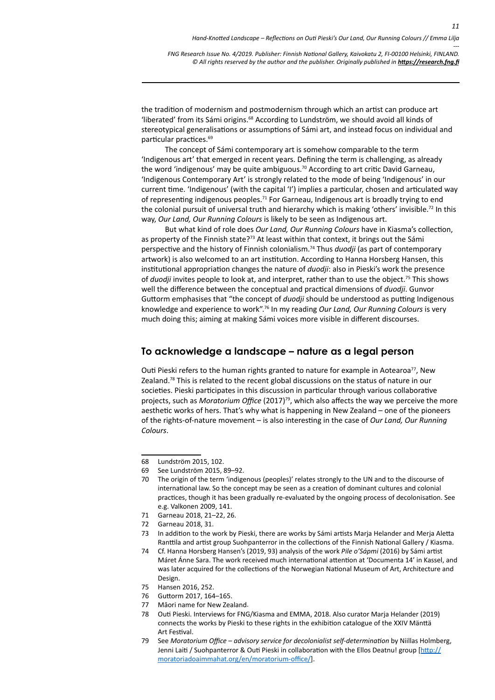the tradition of modernism and postmodernism through which an artist can produce art 'liberated' from its Sámi origins.68 According to Lundström, we should avoid all kinds of stereotypical generalisations or assumptions of Sámi art, and instead focus on individual and particular practices.69

The concept of Sámi contemporary art is somehow comparable to the term 'Indigenous art' that emerged in recent years. Defining the term is challenging, as already the word 'indigenous' may be quite ambiguous.<sup>70</sup> According to art critic David Garneau, 'Indigenous Contemporary Art' is strongly related to the mode of being 'Indigenous' in our current time. 'Indigenous' (with the capital 'I') implies a particular, chosen and articulated way of representing indigenous peoples.<sup>71</sup> For Garneau, Indigenous art is broadly trying to end the colonial pursuit of universal truth and hierarchy which is making 'others' invisible.<sup>72</sup> In this way, *Our Land, Our Running Colours* is likely to be seen as Indigenous art.

But what kind of role does *Our Land, Our Running Colours* have in Kiasma's collection, as property of the Finnish state?<sup>73</sup> At least within that context, it brings out the Sámi perspective and the history of Finnish colonialism.74 Thus *duodji* (as part of contemporary artwork) is also welcomed to an art institution. According to Hanna Horsberg Hansen, this institutional appropriation changes the nature of *duodji*: also in Pieski's work the presence of *duodji* invites people to look at, and interpret, rather than to use the object.75 This shows well the difference between the conceptual and practical dimensions of *duodji*. Gunvor Guttorm emphasises that "the concept of *duodji* should be understood as putting Indigenous knowledge and experience to work".<sup>76</sup> In my reading *Our Land, Our Running Colours* is very much doing this; aiming at making Sámi voices more visible in different discourses.

### **To acknowledge a landscape – nature as a legal person**

Outi Pieski refers to the human rights granted to nature for example in Aotearoa<sup>77</sup>, New Zealand.<sup>78</sup> This is related to the recent global discussions on the status of nature in our societies. Pieski participates in this discussion in particular through various collaborative projects, such as *Moratorium Office* (2017)<sup>79</sup>, which also affects the way we perceive the more aesthetic works of hers. That's why what is happening in New Zealand – one of the pioneers of the rights-of-nature movement – is also interesting in the case of *Our Land, Our Running Colours*.

- 70 The origin of the term 'indigenous (peoples)' relates strongly to the UN and to the discourse of international law. So the concept may be seen as a creation of dominant cultures and colonial practices, though it has been gradually re-evaluated by the ongoing process of decolonisation. See e.g. Valkonen 2009, 141.
- 71 Garneau 2018, 21–22, 26.
- 72 Garneau 2018, 31.
- 73 In addition to the work by Pieski, there are works by Sámi artists Marja Helander and Merja Aletta Ranttila and artist group Suohpanterror in the collections of the Finnish National Gallery / Kiasma.
- 74 Cf. Hanna Horsberg Hansen's (2019, 93) analysis of the work *Pile o'Sápmi* (2016) by Sámi artist Máret Ánne Sara. The work received much international attention at 'Documenta 14' in Kassel, and was later acquired for the collections of the Norwegian National Museum of Art, Architecture and Design.
- 75 Hansen 2016, 252.
- 76 Guttorm 2017, 164–165.
- 77 Māori name for New Zealand.
- 78 Outi Pieski. Interviews for FNG/Kiasma and EMMA, 2018. Also curator Marja Helander (2019) connects the works by Pieski to these rights in the exhibition catalogue of the XXIV Mänttä Art Festival.
- 79 See *Moratorium Office advisory service for decolonialist self-determination* by Niillas Holmberg, Jenni Laiti / Suohpanterror & Outi Pieski in collaboration with the Ellos Deatnu! group [\[http://](http://moratoriadoaimmahat.org/en/moratorium-office/) [moratoriadoaimmahat.org/en/moratorium-office/](http://moratoriadoaimmahat.org/en/moratorium-office/)].

<sup>68</sup> Lundström 2015, 102.

<sup>69</sup> See Lundström 2015, 89–92.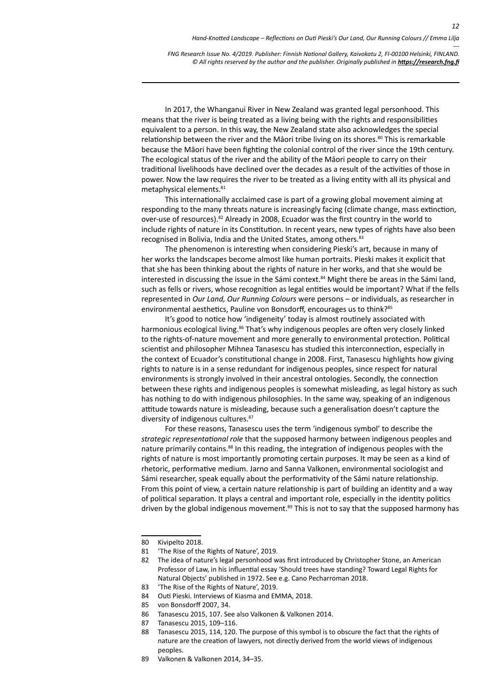In 2017, the Whanganui River in New Zealand was granted legal personhood. This means that the river is being treated as a living being with the rights and responsibilities equivalent to a person. In this way, the New Zealand state also acknowledges the special relationship between the river and the Māori tribe living on its shores.<sup>80</sup> This is remarkable because the Māori have been fighting the colonial control of the river since the 19th century. The ecological status of the river and the ability of the Māori people to carry on their traditional livelihoods have declined over the decades as a result of the activities of those in power. Now the law requires the river to be treated as a living entity with all its physical and metaphysical elements.<sup>81</sup>

This internationally acclaimed case is part of a growing global movement aiming at responding to the many threats nature is increasingly facing (climate change, mass extinction, over-use of resources).82 Already in 2008, Ecuador was the first country in the world to include rights of nature in its Constitution. In recent years, new types of rights have also been recognised in Bolivia, India and the United States, among others.83

The phenomenon is interesting when considering Pieski's art, because in many of her works the landscapes become almost like human portraits. Pieski makes it explicit that that she has been thinking about the rights of nature in her works, and that she would be interested in discussing the issue in the Sámi context.<sup>84</sup> Might there be areas in the Sámi land, such as fells or rivers, whose recognition as legal entities would be important? What if the fells represented in *Our Land, Our Running Colours* were persons – or individuals, as researcher in environmental aesthetics, Pauline von Bonsdorff, encourages us to think?<sup>85</sup>

It's good to notice how 'indigeneity' today is almost routinely associated with harmonious ecological living.<sup>86</sup> That's why indigenous peoples are often very closely linked to the rights-of-nature movement and more generally to environmental protection. Political scientist and philosopher Mihnea Tanasescu has studied this interconnection, especially in the context of Ecuador's constitutional change in 2008. First, Tanasescu highlights how giving rights to nature is in a sense redundant for indigenous peoples, since respect for natural environments is strongly involved in their ancestral ontologies. Secondly, the connection between these rights and indigenous peoples is somewhat misleading, as legal history as such has nothing to do with indigenous philosophies. In the same way, speaking of an indigenous attitude towards nature is misleading, because such a generalisation doesn't capture the diversity of indigenous cultures.<sup>87</sup>

For these reasons, Tanasescu uses the term 'indigenous symbol' to describe the *strategic representational role* that the supposed harmony between indigenous peoples and nature primarily contains.<sup>88</sup> In this reading, the integration of indigenous peoples with the rights of nature is most importantly promoting certain purposes. It may be seen as a kind of rhetoric, performative medium. Jarno and Sanna Valkonen, environmental sociologist and Sámi researcher, speak equally about the performativity of the Sámi nature relationship. From this point of view, a certain nature relationship is part of building an identity and a way of political separation. It plays a central and important role, especially in the identity politics driven by the global indigenous movement.<sup>89</sup> This is not to say that the supposed harmony has

<sup>80</sup> Kivipelto 2018.

<sup>81</sup> 'The Rise of the Rights of Nature', 2019.

<sup>82</sup> The idea of nature's legal personhood was first introduced by Christopher Stone, an American Professor of Law, in his influential essay 'Should trees have standing? Toward Legal Rights for Natural Objects' published in 1972. See e.g. Cano Pecharroman 2018.

<sup>83</sup> 'The Rise of the Rights of Nature', 2019.

<sup>84</sup> Outi Pieski. Interviews of Kiasma and EMMA, 2018.

<sup>85</sup> von Bonsdorff 2007, 34.

<sup>86</sup> Tanasescu 2015, 107. See also Valkonen & Valkonen 2014.

<sup>87</sup> Tanasescu 2015, 109–116.

<sup>88</sup> Tanasescu 2015, 114, 120. The purpose of this symbol is to obscure the fact that the rights of nature are the creation of lawyers, not directly derived from the world views of indigenous peoples.

<sup>89</sup> Valkonen & Valkonen 2014, 34–35.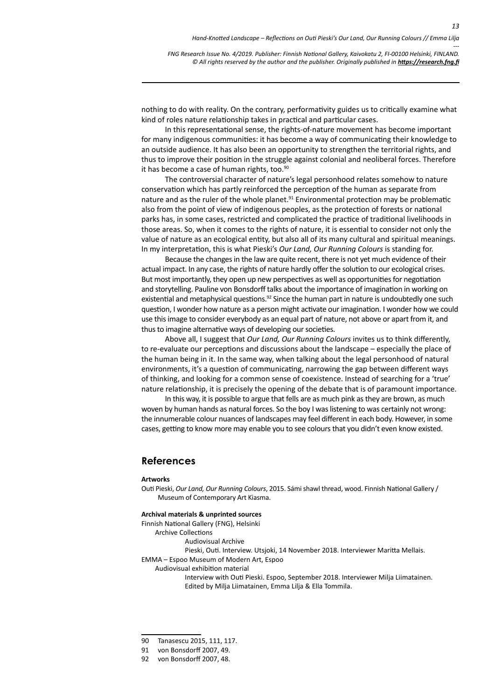*---*

*13*

*FNG Research Issue No. 4/2019. Publisher: Finnish National Gallery, Kaivokatu 2, FI-00100 Helsinki, FINLAND.* © All rights reserved by the author and the publisher. Originally published in **<https://research.fng.fi>** 

nothing to do with reality. On the contrary, performativity guides us to critically examine what kind of roles nature relationship takes in practical and particular cases.

In this representational sense, the rights-of-nature movement has become important for many indigenous communities: it has become a way of communicating their knowledge to an outside audience. It has also been an opportunity to strengthen the territorial rights, and thus to improve their position in the struggle against colonial and neoliberal forces. Therefore it has become a case of human rights, too.<sup>90</sup>

The controversial character of nature's legal personhood relates somehow to nature conservation which has partly reinforced the perception of the human as separate from nature and as the ruler of the whole planet. $91$  Environmental protection may be problematic also from the point of view of indigenous peoples, as the protection of forests or national parks has, in some cases, restricted and complicated the practice of traditional livelihoods in those areas. So, when it comes to the rights of nature, it is essential to consider not only the value of nature as an ecological entity, but also all of its many cultural and spiritual meanings. In my interpretation, this is what Pieski's *Our Land, Our Running Colours* is standing for.

Because the changes in the law are quite recent, there is not yet much evidence of their actual impact. In any case, the rights of nature hardly offer the solution to our ecological crises. But most importantly, they open up new perspectives as well as opportunities for negotiation and storytelling. Pauline von Bonsdorff talks about the importance of imagination in working on existential and metaphysical questions. $92$  Since the human part in nature is undoubtedly one such question, I wonder how nature as a person might activate our imagination. I wonder how we could use this image to consider everybody as an equal part of nature, not above or apart from it, and thus to imagine alternative ways of developing our societies.

Above all, I suggest that *Our Land, Our Running Colours* invites us to think differently, to re-evaluate our perceptions and discussions about the landscape – especially the place of the human being in it. In the same way, when talking about the legal personhood of natural environments, it's a question of communicating, narrowing the gap between different ways of thinking, and looking for a common sense of coexistence. Instead of searching for a 'true' nature relationship, it is precisely the opening of the debate that is of paramount importance.

In this way, it is possible to argue that fells are as much pink as they are brown, as much woven by human hands as natural forces. So the boy I was listening to was certainly not wrong: the innumerable colour nuances of landscapes may feel different in each body. However, in some cases, getting to know more may enable you to see colours that you didn't even know existed.

### **References**

### **Artworks**

Outi Pieski, *Our Land, Our Running Colours*, 2015. Sámi shawl thread, wood. Finnish National Gallery / Museum of Contemporary Art Kiasma.

### **Archival materials & unprinted sources**

Finnish National Gallery (FNG), Helsinki

Archive Collections

Audiovisual Archive

Pieski, Outi. Interview. Utsjoki, 14 November 2018. Interviewer Maritta Mellais.

EMMA – Espoo Museum of Modern Art, Espoo

Audiovisual exhibition material

Interview with Outi Pieski. Espoo, September 2018. Interviewer Milja Liimatainen. Edited by Milja Liimatainen, Emma Lilja & Ella Tommila.

<sup>90</sup> Tanasescu 2015, 111, 117.

<sup>91</sup> von Bonsdorff 2007, 49.

<sup>92</sup> von Bonsdorff 2007, 48.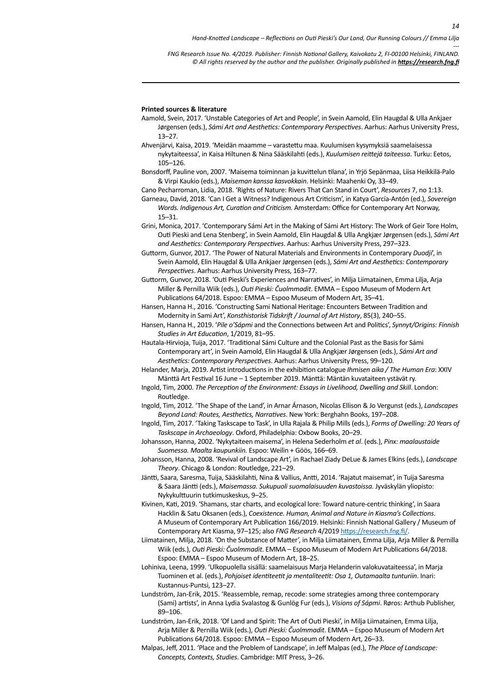*---*

*14*

*FNG Research Issue No. 4/2019. Publisher: Finnish National Gallery, Kaivokatu 2, FI-00100 Helsinki, FINLAND.* © All rights reserved by the author and the publisher. Originally published in **<https://research.fng.fi>** 

### **Printed sources & literature**

- Aamold, Svein, 2017. 'Unstable Categories of Art and People', in Svein Aamold, Elin Haugdal & Ulla Ankjaer Jørgensen (eds.), *Sámi Art and Aesthetics: Contemporary Perspectives*. Aarhus: Aarhus University Press, 13–27.
- Ahvenjärvi, Kaisa, 2019. 'Meidän maamme varastettu maa. Kuulumisen kysymyksiä saamelaisessa nykytaiteessa', in Kaisa Hiltunen & Nina Sääskilahti (eds.), *Kuulumisen reittejä taiteessa*. Turku: Eetos, 105–126.
- Bonsdorff, Pauline von, 2007. 'Maisema toiminnan ja kuvittelun tilana', in Yrjö Sepänmaa, Liisa Heikkilä-Palo & Virpi Kaukio (eds.), *Maiseman kanssa kasvokkain*. Helsinki: Maahenki Oy, 33–49.

Cano Pecharroman, Lidia, 2018. 'Rights of Nature: Rivers That Can Stand in Court', *Resources* 7, no 1:13.

- Garneau, David, 2018. 'Can I Get a Witness? Indigenous Art Criticism', in Katya García-Antón (ed.), *Sovereign Words. Indigenous Art, Curation and Criticism.* Amsterdam: Office for Contemporary Art Norway, 15–31.
- Grini, Monica, 2017. 'Contemporary Sámi Art in the Making of Sámi Art History: The Work of Geir Tore Holm, Outi Pieski and Lena Stenberg', in Svein Aamold, Elin Haugdal & Ulla Angkjær Jørgensen (eds.), *Sámi Art and Aesthetics: Contemporary Perspectives*. Aarhus: Aarhus University Press, 297–323.

Guttorm, Gunvor, 2017. 'The Power of Natural Materials and Environments in Contemporary *Duodji*', in Svein Aamold, Elin Haugdal & Ulla Ankjaer Jørgensen (eds.), *Sámi Art and Aesthetics: Contemporary Perspectives*. Aarhus: Aarhus University Press, 163–77.

Guttorm, Gunvor, 2018. 'Outi Pieski's Experiences and Narratives', in Milja Liimatainen, Emma Lilja, Arja Miller & Pernilla Wiik (eds.), *Outi Pieski: Čuolmmadit*. EMMA – Espoo Museum of Modern Art Publications 64/2018. Espoo: EMMA – Espoo Museum of Modern Art, 35–41.

Hansen, Hanna H., 2016. 'Constructing Sami National Heritage: Encounters Between Tradition and Modernity in Sami Art', *Konsthistorisk Tidskrift / Journal of Art History*, 85(3), 240–55.

Hansen, Hanna H., 2019. '*Pile o'Sápmi* and the Connections between Art and Politics', *Synnyt/Origins: Finnish Studies in Art Education*, 1/2019, 81–95.

Hautala-Hirvioja, Tuija, 2017. 'Traditional Sámi Culture and the Colonial Past as the Basis for Sámi Contemporary art', in Svein Aamold, Elin Haugdal & Ulla Angkjær Jørgensen (eds.), *Sámi Art and Aesthetics: Contemporary Perspectives*. Aarhus: Aarhus University Press, 99–120.

Helander, Marja, 2019. Artist introductions in the exhibition catalogue *Ihmisen aika / The Human Era*: XXIV Mänttä Art Festival 16 June – 1 September 2019. Mänttä: Mäntän kuvataiteen ystävät ry.

- Ingold, Tim, 2000. *The Perception of the Environment: Essays in Livelihood, Dwelling and Skill*. London: Routledge.
- Ingold, Tim, 2012. 'The Shape of the Land', in Arnar Árnason, Nicolas Ellison & Jo Vergunst (eds.), *Landscapes Beyond Land: Routes, Aesthetics, Narratives*. New York: Berghahn Books, 197–208.
- Ingold, Tim, 2017. 'Taking Taskscape to Task', in Ulla Rajala & Philip Mills (eds.), *Forms of Dwelling: 20 Years of Taskscape in Archaeology*. Oxford, Philadelphia: Oxbow Books, 20–29.
- Johansson, Hanna, 2002. 'Nykytaiteen maisema', in Helena Sederholm *et al*. (eds.), *Pinx: maalaustaide Suomessa. Maalta kaupunkiin.* Espoo: Weilin + Göös, 166–69.
- Johansson, Hanna, 2008. 'Revival of Landscape Art', in Rachael Ziady DeLue & James Elkins (eds.), *Landscape Theory*. Chicago & London: Routledge, 221–29.
- Jäntti, Saara, Saresma, Tuija, Sääskilahti, Nina & Vallius, Antti, 2014. 'Rajatut maisemat', in Tuija Saresma & Saara Jäntti (eds.), *Maisemassa. Sukupuoli suomalaisuuden kuvastoissa.* Jyväskylän yliopisto: Nykykulttuurin tutkimuskeskus, 9–25.
- Kivinen, Kati, 2019. 'Shamans, star charts, and ecological lore: Toward nature-centric thinking', in Saara Hacklin & Satu Oksanen (eds.), *Coexistence. Human, Animal and Nature in Kiasma's Collections*. A Museum of Contemporary Art Publication 166/2019. Helsinki: Finnish National Gallery / Museum of Contemporary Art Kiasma, 97–125; also *FNG Research* 4/2019<https://research.fng.fi/>.
- Liimatainen, Milja, 2018. 'On the Substance of Matter', in Milja Liimatainen, Emma Lilja, Arja Miller & Pernilla Wiik (eds.), *Outi Pieski: Čuolmmadit*. EMMA – Espoo Museum of Modern Art Publications 64/2018. Espoo: EMMA – Espoo Museum of Modern Art, 18–25.
- Lohiniva, Leena, 1999. 'Ulkopuolella sisällä: saamelaisuus Marja Helanderin valokuvataiteessa', in Marja Tuominen et al. (eds.), *Pohjoiset identiteetit ja mentaliteetit: Osa 1, Outamaalta tunturiin*. Inari: Kustannus-Puntsi, 123–27.
- Lundström, Jan-Erik, 2015. 'Reassemble, remap, recode: some strategies among three contemporary (Sami) artists', in Anna Lydia Svalastog & Gunlög Fur (eds.), *Visions of Sápmi*. Røros: Arthub Publisher, 89–106.
- Lundström, Jan-Erik, 2018. 'Of Land and Spirit: The Art of Outi Pieski', in Milja Liimatainen, Emma Lilja, Arja Miller & Pernilla Wiik (eds.), *Outi Pieski: Čuolmmadit*. EMMA – Espoo Museum of Modern Art Publications 64/2018. Espoo: EMMA – Espoo Museum of Modern Art, 26–33.
- Malpas, Jeff, 2011. 'Place and the Problem of Landscape', in Jeff Malpas (ed.), *The Place of Landscape: Concepts, Contexts, Studies*. Cambridge: MIT Press, 3–26.